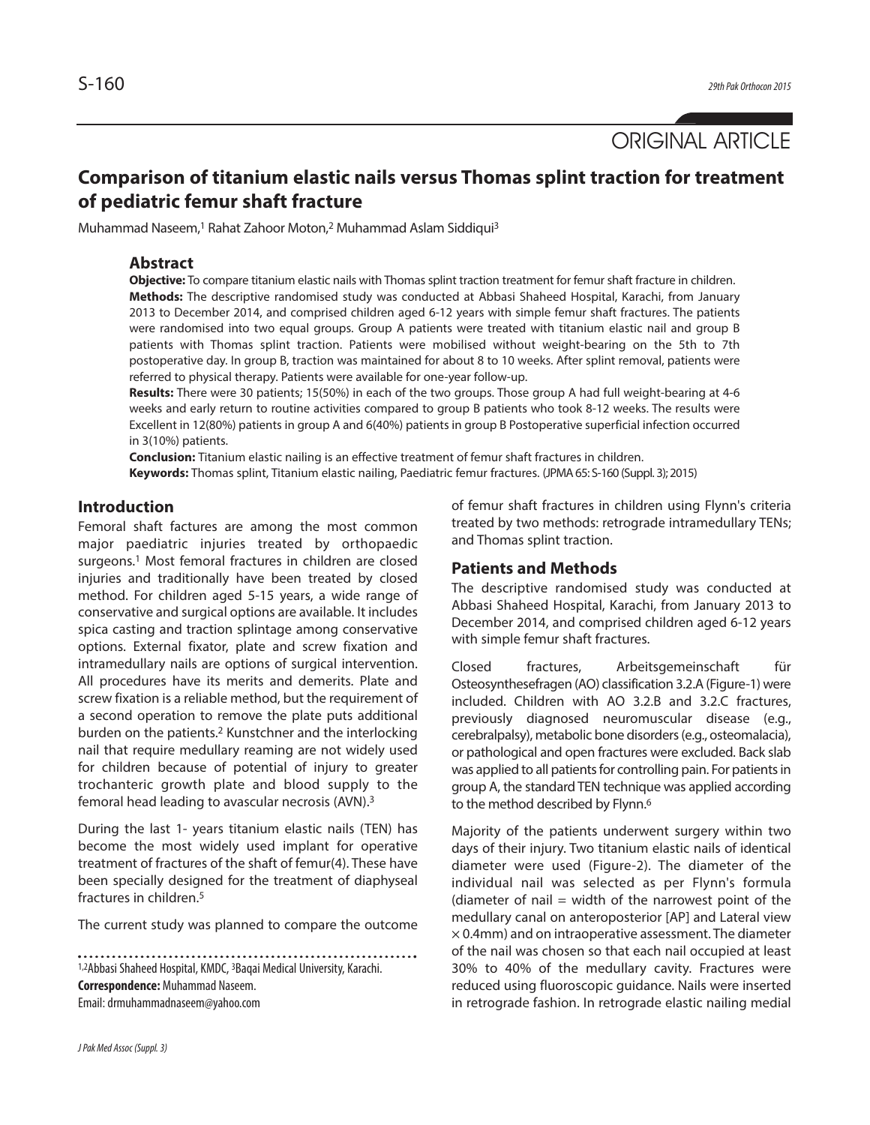ORIGINAL ARTICLE

# **Comparison of titanium elastic nails versus Thomas splint traction for treatment of pediatric femur shaft fracture**

Muhammad Naseem,<sup>1</sup> Rahat Zahoor Moton,<sup>2</sup> Muhammad Aslam Siddiqui<sup>3</sup>

#### **Abstract**

**Objective:** To compare titanium elastic nails with Thomas splint traction treatment for femur shaft fracture in children. **Methods:** The descriptive randomised study was conducted at Abbasi Shaheed Hospital, Karachi, from January 2013 to December 2014, and comprised children aged 6-12 years with simple femur shaft fractures. The patients were randomised into two equal groups. Group A patients were treated with titanium elastic nail and group B patients with Thomas splint traction. Patients were mobilised without weight-bearing on the 5th to 7th postoperative day. In group B, traction was maintained for about 8 to 10 weeks. After splint removal, patients were referred to physical therapy. Patients were available for one-year follow-up.

**Results:** There were 30 patients; 15(50%) in each of the two groups. Those group A had full weight-bearing at 4-6 weeks and early return to routine activities compared to group B patients who took 8-12 weeks. The results were Excellent in 12(80%) patients in group A and 6(40%) patients in group B Postoperative superficial infection occurred in 3(10%) patients.

**Conclusion:** Titanium elastic nailing is an effective treatment of femur shaft fractures in children. **Keywords:** Thomas splint, Titanium elastic nailing, Paediatric femur fractures. (JPMA65: S-160 (Suppl. 3); 2015)

## **Introduction**

Femoral shaft factures are among the most common major paediatric injuries treated by orthopaedic surgeons. <sup>1</sup> Most femoral fractures in children are closed injuries and traditionally have been treated by closed method. For children aged 5-15 years, a wide range of conservative and surgical options are available. It includes spica casting and traction splintage among conservative options. External fixator, plate and screw fixation and intramedullary nails are options of surgical intervention. All procedures have its merits and demerits. Plate and screw fixation is a reliable method, but the requirement of a second operation to remove the plate puts additional burden on the patients. <sup>2</sup> Kunstchner and the interlocking nail that require medullary reaming are not widely used for children because of potential of injury to greater trochanteric growth plate and blood supply to the femoral head leading to avascular necrosis (AVN). 3

During the last 1- years titanium elastic nails (TEN) has become the most widely used implant for operative treatment of fractures of the shaft of femur(4). These have been specially designed for the treatment of diaphyseal fractures in children. 5

The current study was planned to compare the outcome

1,2Abbasi Shaheed Hospital, KMDC, 3Baqai Medical University, Karachi. **Correspondence:** Muhammad Naseem. Email:drmuhammadnaseem@yahoo.com

of femur shaft fractures in children using Flynn's criteria treated by two methods: retrograde intramedullary TENs; and Thomas splint traction.

#### **Patients and Methods**

The descriptive randomised study was conducted at Abbasi Shaheed Hospital, Karachi, from January 2013 to December 2014, and comprised children aged 6-12 years with simple femur shaft fractures.

Closed fractures, Arbeitsgemeinschaft für Osteosynthesefragen (AO) classification 3.2.A (Figure-1) were included. Children with AO 3.2.B and 3.2.C fractures, previously diagnosed neuromuscular disease (e.g., cerebralpalsy), metabolic bone disorders(e.g., osteomalacia), or pathological and open fractures were excluded. Back slab was applied to all patients for controlling pain. For patients in group A, the standard TEN technique was applied according to the method described by Flynn. 6

Majority of the patients underwent surgery within two days of their injury. Two titanium elastic nails of identical diameter were used (Figure-2). The diameter of the individual nail was selected as per Flynn's formula (diameter of nail  $=$  width of the narrowest point of the medullary canal on anteroposterior [AP] and Lateral view  $\times$  0.4mm) and on intraoperative assessment. The diameter of the nail was chosen so that each nail occupied at least 30% to 40% of the medullary cavity. Fractures were reduced using fluoroscopic guidance. Nails were inserted in retrograde fashion. In retrograde elastic nailing medial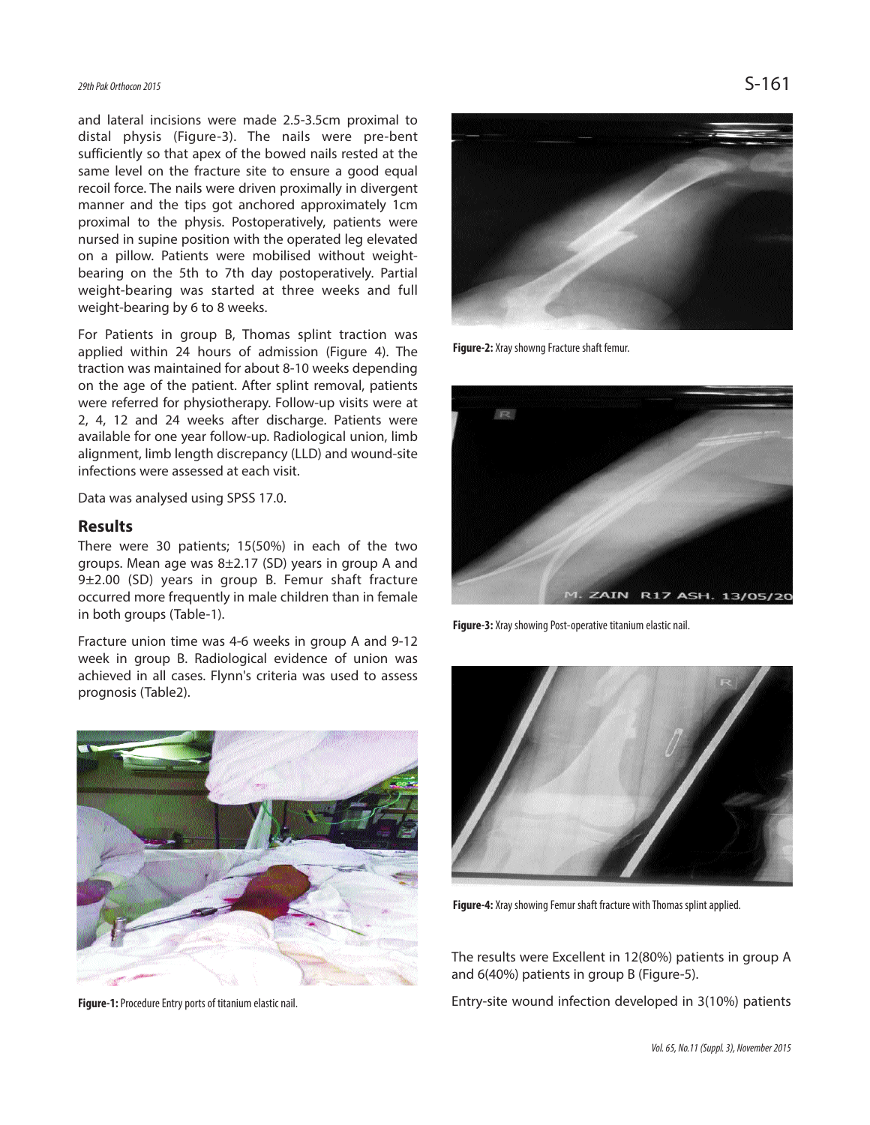and lateral incisions were made 2.5-3.5cm proximal to distal physis (Figure-3). The nails were pre-bent sufficiently so that apex of the bowed nails rested at the same level on the fracture site to ensure a good equal recoil force. The nails were driven proximally in divergent manner and the tips got anchored approximately 1cm proximal to the physis. Postoperatively, patients were nursed in supine position with the operated leg elevated on a pillow. Patients were mobilised without weightbearing on the 5th to 7th day postoperatively. Partial weight-bearing was started at three weeks and full weight-bearing by 6 to 8 weeks.

For Patients in group B, Thomas splint traction was applied within 24 hours of admission (Figure 4). The traction was maintained for about 8-10 weeks depending on the age of the patient. After splint removal, patients were referred for physiotherapy. Follow-up visits were at 2, 4, 12 and 24 weeks after discharge. Patients were available for one year follow-up. Radiological union, limb alignment, limb length discrepancy (LLD) and wound-site infections were assessed at each visit.

Data was analysed using SPSS 17.0.

#### **Results**

There were 30 patients; 15(50%) in each of the two groups. Mean age was 8±2.17 (SD) years in group A and 9±2.00 (SD) years in group B. Femur shaft fracture occurred more frequently in male children than in female in both groups (Table-1).

Fracture union time was 4-6 weeks in group A and 9-12 week in group B. Radiological evidence of union was achieved in all cases. Flynn's criteria was used to assess prognosis (Table2).



Figure-1: Procedure Entry ports of titanium elastic nail.



**Figure-2:** Xray showng Fracture shaft femur.



Figure-3: Xray showing Post-operative titanium elastic nail.



**Figure-4:** Xray showing Femur shaft fracture with Thomas splint applied.

The results were Excellent in 12(80%) patients in group A and 6(40%) patients in group B (Figure-5).

Entry-site wound infection developed in 3(10%) patients